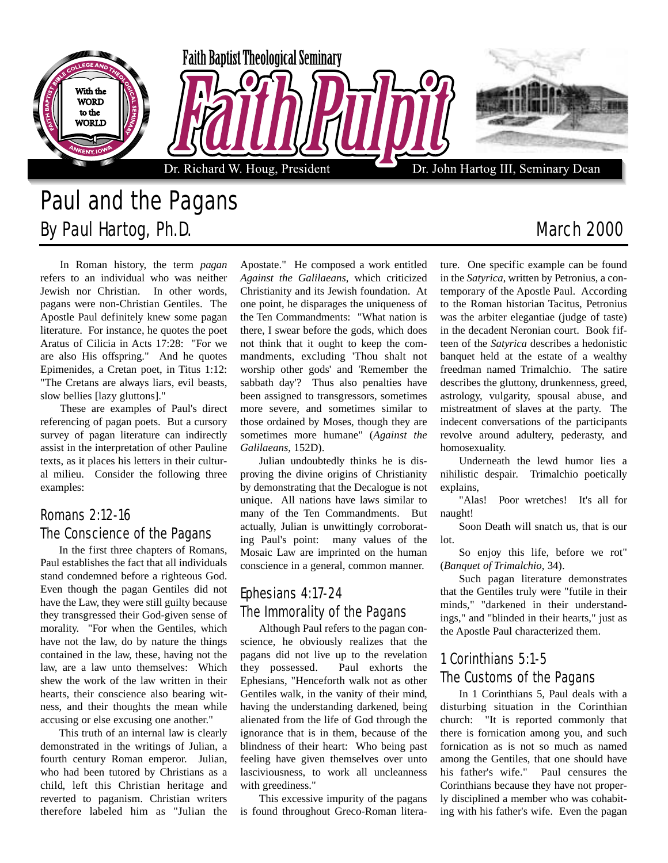

# Paul and the Pagans By Paul Hartog, Ph.D. **March 2000** March 2000

In Roman history, the term *pagan* refers to an individual who was neither Jewish nor Christian. In other words, pagans were non-Christian Gentiles. The Apostle Paul definitely knew some pagan literature. For instance, he quotes the poet Aratus of Cilicia in Acts 17:28: "For we are also His offspring." And he quotes Epimenides, a Cretan poet, in Titus 1:12: "The Cretans are always liars, evil beasts, slow bellies [lazy gluttons]."

These are examples of Paul's direct referencing of pagan poets. But a cursory survey of pagan literature can indirectly assist in the interpretation of other Pauline texts, as it places his letters in their cultural milieu. Consider the following three examples:

#### Romans 2:12-16 The Conscience of the Pagans

In the first three chapters of Romans, Paul establishes the fact that all individuals stand condemned before a righteous God. Even though the pagan Gentiles did not have the Law, they were still guilty because they transgressed their God-given sense of morality. "For when the Gentiles, which have not the law, do by nature the things contained in the law, these, having not the law, are a law unto themselves: Which shew the work of the law written in their hearts, their conscience also bearing witness, and their thoughts the mean while accusing or else excusing one another."

This truth of an internal law is clearly demonstrated in the writings of Julian, a fourth century Roman emperor. Julian, who had been tutored by Christians as a child, left this Christian heritage and reverted to paganism. Christian writers therefore labeled him as "Julian the

Apostate." He composed a work entitled *Against the Galilaeans*, which criticized Christianity and its Jewish foundation. At one point, he disparages the uniqueness of the Ten Commandments: "What nation is there, I swear before the gods, which does not think that it ought to keep the commandments, excluding 'Thou shalt not worship other gods' and 'Remember the sabbath day'? Thus also penalties have been assigned to transgressors, sometimes more severe, and sometimes similar to those ordained by Moses, though they are sometimes more humane" (*Against the Galilaeans*, 152D).

Julian undoubtedly thinks he is disproving the divine origins of Christianity by demonstrating that the Decalogue is not unique. All nations have laws similar to many of the Ten Commandments. But actually, Julian is unwittingly corroborating Paul's point: many values of the Mosaic Law are imprinted on the human conscience in a general, common manner.

### Ephesians 4:17-24 The Immorality of the Pagans

Although Paul refers to the pagan conscience, he obviously realizes that the pagans did not live up to the revelation they possessed. Paul exhorts the Ephesians, "Henceforth walk not as other Gentiles walk, in the vanity of their mind, having the understanding darkened, being alienated from the life of God through the ignorance that is in them, because of the blindness of their heart: Who being past feeling have given themselves over unto lasciviousness, to work all uncleanness with greediness."

This excessive impurity of the pagans is found throughout Greco-Roman litera-

ture. One specific example can be found in the *Satyrica*, written by Petronius, a contemporary of the Apostle Paul. According to the Roman historian Tacitus, Petronius was the arbiter elegantiae (judge of taste) in the decadent Neronian court. Book fifteen of the *Satyrica* describes a hedonistic banquet held at the estate of a wealthy freedman named Trimalchio. The satire describes the gluttony, drunkenness, greed, astrology, vulgarity, spousal abuse, and mistreatment of slaves at the party. The indecent conversations of the participants revolve around adultery, pederasty, and homosexuality.

Underneath the lewd humor lies a nihilistic despair. Trimalchio poetically explains,

"Alas! Poor wretches! It's all for naught!

Soon Death will snatch us, that is our lot.

So enjoy this life, before we rot" (*Banquet of Trimalchio*, 34).

Such pagan literature demonstrates that the Gentiles truly were "futile in their minds," "darkened in their understandings," and "blinded in their hearts," just as the Apostle Paul characterized them.

## 1 Corinthians 5:1-5 The Customs of the Pagans

In 1 Corinthians 5, Paul deals with a disturbing situation in the Corinthian church: "It is reported commonly that there is fornication among you, and such fornication as is not so much as named among the Gentiles, that one should have his father's wife." Paul censures the Corinthians because they have not properly disciplined a member who was cohabiting with his father's wife. Even the pagan